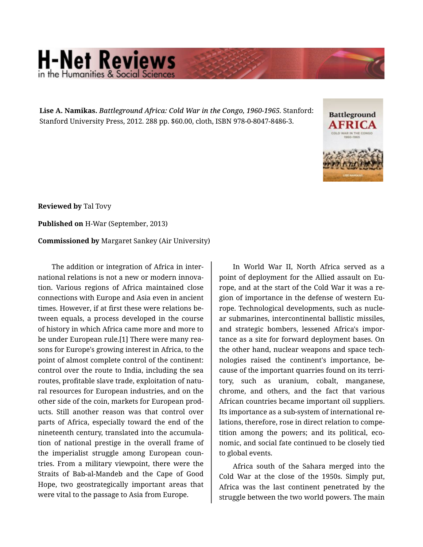## **H-Net Reviews** in the Humanities & Social Scie

**Lise A. Namikas.** *Battleground Africa: Cold War in the Congo, 1960-1965.* Stanford: Stanford University Press, 2012. 288 pp. \$60.00, cloth, ISBN 978-0-8047-8486-3.



**Reviewed by** Tal Tovy

**Published on** H-War (September, 2013)

**Commissioned by** Margaret Sankey (Air University)

The addition or integration of Africa in inter‐ national relations is not a new or modern innova‐ tion. Various regions of Africa maintained close connections with Europe and Asia even in ancient times. However, if at first these were relations be‐ tween equals, a process developed in the course of history in which Africa came more and more to be under European rule.[1] There were many rea‐ sons for Europe's growing interest in Africa, to the point of almost complete control of the continent: control over the route to India, including the sea routes, profitable slave trade, exploitation of natu‐ ral resources for European industries, and on the other side of the coin, markets for European prod‐ ucts. Still another reason was that control over parts of Africa, especially toward the end of the nineteenth century, translated into the accumula‐ tion of national prestige in the overall frame of the imperialist struggle among European coun‐ tries. From a military viewpoint, there were the Straits of Bab-al-Mandeb and the Cape of Good Hope, two geostrategically important areas that were vital to the passage to Asia from Europe.

In World War II, North Africa served as a point of deployment for the Allied assault on Eu‐ rope, and at the start of the Cold War it was a re‐ gion of importance in the defense of western Eu‐ rope. Technological developments, such as nucle‐ ar submarines, intercontinental ballistic missiles, and strategic bombers, lessened Africa's impor‐ tance as a site for forward deployment bases. On the other hand, nuclear weapons and space tech‐ nologies raised the continent's importance, be‐ cause of the important quarries found on its terri‐ tory, such as uranium, cobalt, manganese, chrome, and others, and the fact that various African countries became important oil suppliers. Its importance as a sub-system of international re‐ lations, therefore, rose in direct relation to compe‐ tition among the powers; and its political, eco‐ nomic, and social fate continued to be closely tied to global events.

Africa south of the Sahara merged into the Cold War at the close of the 1950s. Simply put, Africa was the last continent penetrated by the struggle between the two world powers. The main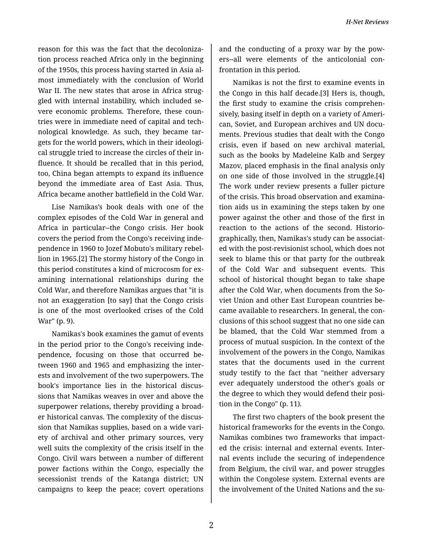reason for this was the fact that the decoloniza‐ tion process reached Africa only in the beginning of the 1950s, this process having started in Asia al‐ most immediately with the conclusion of World War II. The new states that arose in Africa struggled with internal instability, which included se‐ vere economic problems. Therefore, these countries were in immediate need of capital and tech‐ nological knowledge. As such, they became tar‐ gets for the world powers, which in their ideologi‐ cal struggle tried to increase the circles of their in‐ fluence. It should be recalled that in this period, too, China began attempts to expand its influence beyond the immediate area of East Asia. Thus, Africa became another battlefield in the Cold War.

Lise Namikas's book deals with one of the complex episodes of the Cold War in general and Africa in particular--the Congo crisis. Her book covers the period from the Congo's receiving inde‐ pendence in 1960 to Jozef Mobuto's military rebel‐ lion in 1965.[2] The stormy history of the Congo in this period constitutes a kind of microcosm for ex‐ amining international relationships during the Cold War, and therefore Namikas argues that "it is not an exaggeration [to say] that the Congo crisis is one of the most overlooked crises of the Cold War" (p. 9).

Namikas's book examines the gamut of events in the period prior to the Congo's receiving inde‐ pendence, focusing on those that occurred be‐ tween 1960 and 1965 and emphasizing the inter‐ ests and involvement of the two superpowers. The book's importance lies in the historical discus‐ sions that Namikas weaves in over and above the superpower relations, thereby providing a broad‐ er historical canvas. The complexity of the discus‐ sion that Namikas supplies, based on a wide vari‐ ety of archival and other primary sources, very well suits the complexity of the crisis itself in the Congo. Civil wars between a number of different power factions within the Congo, especially the secessionist trends of the Katanga district; UN campaigns to keep the peace; covert operations

and the conducting of a proxy war by the pow‐ ers--all were elements of the anticolonial confrontation in this period.

Namikas is not the first to examine events in the Congo in this half decade.[3] Hers is, though, the first study to examine the crisis comprehen‐ sively, basing itself in depth on a variety of Ameri‐ can, Soviet, and European archives and UN docu‐ ments. Previous studies that dealt with the Congo crisis, even if based on new archival material, such as the books by Madeleine Kalb and Sergey Mazov, placed emphasis in the final analysis only on one side of those involved in the struggle.[4] The work under review presents a fuller picture of the crisis. This broad observation and examina‐ tion aids us in examining the steps taken by one power against the other and those of the first in reaction to the actions of the second. Historio‐ graphically, then, Namikas's study can be associat‐ ed with the post-revisionist school, which does not seek to blame this or that party for the outbreak of the Cold War and subsequent events. This school of historical thought began to take shape after the Cold War, when documents from the So‐ viet Union and other East European countries be‐ came available to researchers. In general, the con‐ clusions of this school suggest that no one side can be blamed, that the Cold War stemmed from a process of mutual suspicion. In the context of the involvement of the powers in the Congo, Namikas states that the documents used in the current study testify to the fact that "neither adversary ever adequately understood the other's goals or the degree to which they would defend their posi‐ tion in the Congo" (p. 11).

The first two chapters of the book present the historical frameworks for the events in the Congo. Namikas combines two frameworks that impact‐ ed the crisis: internal and external events. Inter‐ nal events include the securing of independence from Belgium, the civil war, and power struggles within the Congolese system. External events are the involvement of the United Nations and the su‐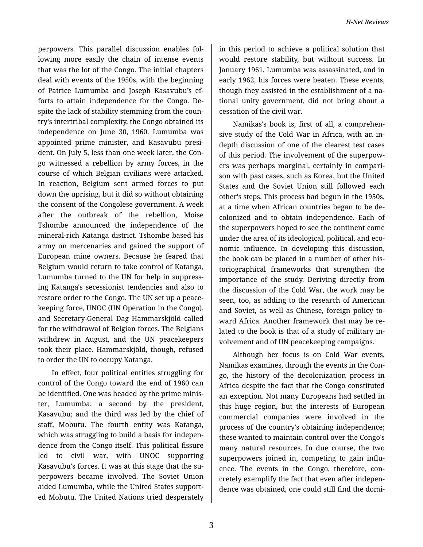perpowers. This parallel discussion enables fol‐ lowing more easily the chain of intense events that was the lot of the Congo. The initial chapters deal with events of the 1950s, with the beginning of Patrice Lumumba and Joseph Kasavubu's ef‐ forts to attain independence for the Congo. De‐ spite the lack of stability stemming from the country's intertribal complexity, the Congo obtained its independence on June 30, 1960. Lumumba was appointed prime minister, and Kasavubu presi‐ dent. On July 5, less than one week later, the Con‐ go witnessed a rebellion by army forces, in the course of which Belgian civilians were attacked. In reaction, Belgium sent armed forces to put down the uprising, but it did so without obtaining the consent of the Congolese government. A week after the outbreak of the rebellion, Moise Tshombe announced the independence of the mineral-rich Katanga district. Tshombe based his army on mercenaries and gained the support of European mine owners. Because he feared that Belgium would return to take control of Katanga, Lumumba turned to the UN for help in suppress‐ ing Katanga's secessionist tendencies and also to restore order to the Congo. The UN set up a peace‐ keeping force, UNOC (UN Operation in the Congo), and Secretary-General Dag Hammarskjöld called for the withdrawal of Belgian forces. The Belgians withdrew in August, and the UN peacekeepers took their place. Hammarskjöld, though, refused to order the UN to occupy Katanga.

In effect, four political entities struggling for control of the Congo toward the end of 1960 can be identified. One was headed by the prime minis‐ ter, Lumumba; a second by the president, Kasavubu; and the third was led by the chief of staff, Mobutu. The fourth entity was Katanga, which was struggling to build a basis for indepen‐ dence from the Congo itself. This political fissure led to civil war, with UNOC supporting Kasavubu's forces. It was at this stage that the su‐ perpowers became involved. The Soviet Union aided Lumumba, while the United States support‐ ed Mobutu. The United Nations tried desperately

in this period to achieve a political solution that would restore stability, but without success. In January 1961, Lumumba was assassinated, and in early 1962, his forces were beaten. These events, though they assisted in the establishment of a na‐ tional unity government, did not bring about a cessation of the civil war.

Namikas's book is, first of all, a comprehen‐ sive study of the Cold War in Africa, with an indepth discussion of one of the clearest test cases of this period. The involvement of the superpow‐ ers was perhaps marginal, certainly in compari‐ son with past cases, such as Korea, but the United States and the Soviet Union still followed each other's steps. This process had begun in the 1950s, at a time when African countries began to be de‐ colonized and to obtain independence. Each of the superpowers hoped to see the continent come under the area of its ideological, political, and eco‐ nomic influence. In developing this discussion, the book can be placed in a number of other his‐ toriographical frameworks that strengthen the importance of the study. Deriving directly from the discussion of the Cold War, the work may be seen, too, as adding to the research of American and Soviet, as well as Chinese, foreign policy to‐ ward Africa. Another framework that may be re‐ lated to the book is that of a study of military in‐ volvement and of UN peacekeeping campaigns.

Although her focus is on Cold War events, Namikas examines, through the events in the Con‐ go, the history of the decolonization process in Africa despite the fact that the Congo constituted an exception. Not many Europeans had settled in this huge region, but the interests of European commercial companies were involved in the process of the country's obtaining independence; these wanted to maintain control over the Congo's many natural resources. In due course, the two superpowers joined in, competing to gain influ‐ ence. The events in the Congo, therefore, concretely exemplify the fact that even after indepen‐ dence was obtained, one could still find the domi‐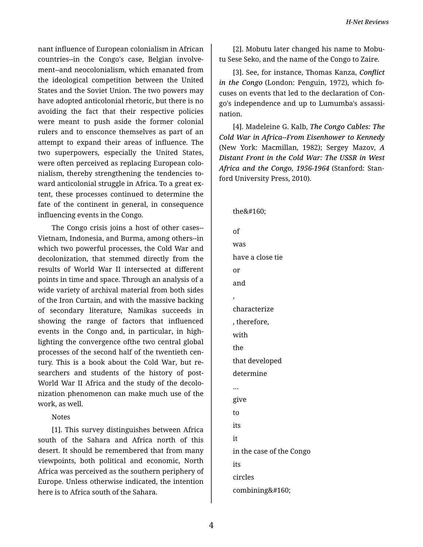nant influence of European colonialism in African countries--in the Congo's case, Belgian involve‐ ment--and neocolonialism, which emanated from the ideological competition between the United States and the Soviet Union. The two powers may have adopted anticolonial rhetoric, but there is no avoiding the fact that their respective policies were meant to push aside the former colonial rulers and to ensconce themselves as part of an attempt to expand their areas of influence. The two superpowers, especially the United States, were often perceived as replacing European colo‐ nialism, thereby strengthening the tendencies to‐ ward anticolonial struggle in Africa. To a great ex‐ tent, these processes continued to determine the fate of the continent in general, in consequence influencing events in the Congo.

The Congo crisis joins a host of other cases-- Vietnam, Indonesia, and Burma, among others--in which two powerful processes, the Cold War and decolonization, that stemmed directly from the results of World War II intersected at different points in time and space. Through an analysis of a wide variety of archival material from both sides of the Iron Curtain, and with the massive backing of secondary literature, Namikas succeeds in showing the range of factors that influenced events in the Congo and, in particular, in high‐ lighting the convergence ofthe two central global processes of the second half of the twentieth cen‐ tury. This is a book about the Cold War, but re‐ searchers and students of the history of post-World War II Africa and the study of the decolo‐ nization phenomenon can make much use of the work, as well.

Notes

[1]. This survey distinguishes between Africa south of the Sahara and Africa north of this desert. It should be remembered that from many viewpoints, both political and economic, North Africa was perceived as the southern periphery of Europe. Unless otherwise indicated, the intention here is to Africa south of the Sahara.

[2]. Mobutu later changed his name to Mobu‐ tu Sese Seko, and the name of the Congo to Zaire.

[3]. See, for instance, Thomas Kanza, *Conflict in the Congo* (London: Penguin, 1972), which fo‐ cuses on events that led to the declaration of Con‐ go's independence and up to Lumumba's assassi‐ nation.

[4]. Madeleine G. Kalb, *The Congo Cables: The Cold War in Africa--From Eisenhower to Kennedy* (New York: Macmillan, 1982); Sergey Mazov, *A Distant Front in the Cold War: The USSR in West Africa and the Congo, 1956-1964* (Stanford: Stan‐ ford University Press, 2010).

the

,

of was have a close tie or and characterize , therefore, with the that developed determine … give to its it in the case of the Congo its circles combining